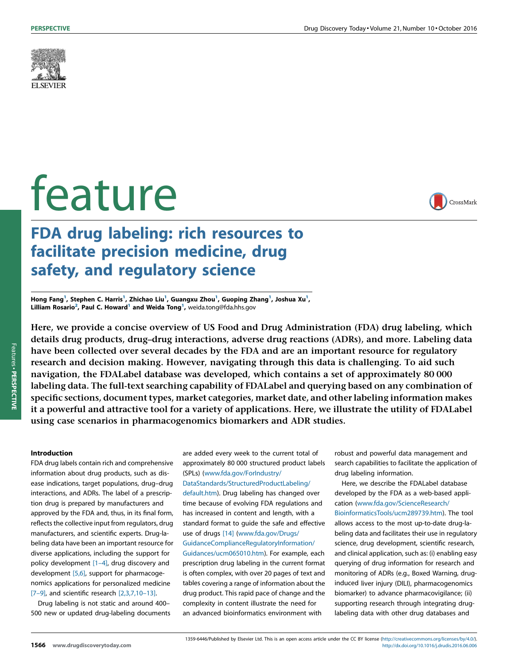

# feature



# FDA drug labeling: rich resources to facilitate precision medicine, drug safety, and regulatory science

Hong Fang<sup>1</sup>, Stephen C. Harris<sup>1</sup>, Zhichao Liu<sup>1</sup>, Guangxu Zhou<sup>1</sup>, Guoping Zhang<sup>1</sup>, Joshua Xu<sup>1</sup>,  ${\sf Lilliam}$  Rosario $^2$ , Paul C. Howard $^1$  and Weida Tong $^1$ , weida.tong@fda.hhs.gov

Here, we provide a concise overview of US Food and Drug Administration (FDA) drug labeling, which details drug products, drug–drug interactions, adverse drug reactions (ADRs), and more. Labeling data have been collected over several decades by the FDA and are an important resource for regulatory research and decision making. However, navigating through this data is challenging. To aid such navigation, the FDALabel database was developed, which contains a set of approximately 80 000 labeling data. The full-text searching capability of FDALabel and querying based on any combination of specific sections, document types, market categories, market date, and other labeling information makes it a powerful and attractive tool for a variety of applications. Here, we illustrate the utility of FDALabel using case scenarios in pharmacogenomics biomarkers and ADR studies.

#### Introduction

FDA drug labels contain rich and comprehensive information about drug products, such as disease indications, target populations, drug–drug interactions, and ADRs. The label of a prescription drug is prepared by manufacturers and approved by the FDA and, thus, in its final form, reflects the collective input from regulators, drug manufacturers, and scientific experts. Drug-labeling data have been an important resource for diverse applications, including the support for policy development [\[1–4\]](#page-4-0), drug discovery and development [\[5,6\],](#page-4-0) support for pharmacogenomics applications for personalized medicine [\[7–9\]](#page-4-0), and scientific research [\[2,3,7,10–13\].](#page-4-0)

Drug labeling is not static and around 400– 500 new or updated drug-labeling documents are added every week to the current total of approximately 80 000 structured product labels (SPLs) [\(www.fda.gov/ForIndustry/](http://www.fda.gov/ForIndustry/DataStandards/StructuredProductLabeling/default.htm) [DataStandards/StructuredProductLabeling/](http://www.fda.gov/ForIndustry/DataStandards/StructuredProductLabeling/default.htm) [default.htm](http://www.fda.gov/ForIndustry/DataStandards/StructuredProductLabeling/default.htm)). Drug labeling has changed over time because of evolving FDA regulations and has increased in content and length, with a standard format to guide the safe and effective use of drugs [\[14\]](#page-4-0) ([www.fda.gov/Drugs/](http://www.fda.gov/Drugs/GuidanceComplianceRegulatoryInformation/Guidances/ucm065010.htm) [GuidanceComplianceRegulatoryInformation/](http://www.fda.gov/Drugs/GuidanceComplianceRegulatoryInformation/Guidances/ucm065010.htm) [Guidances/ucm065010.htm](http://www.fda.gov/Drugs/GuidanceComplianceRegulatoryInformation/Guidances/ucm065010.htm)). For example, each prescription drug labeling in the current format is often complex, with over 20 pages of text and tables covering a range of information about the drug product. This rapid pace of change and the complexity in content illustrate the need for an advanced bioinformatics environment with

robust and powerful data management and search capabilities to facilitate the application of drug labeling information.

Here, we describe the FDALabel database developed by the FDA as a web-based application ([www.fda.gov/ScienceResearch/](http://www.fda.gov/ScienceResearch/BioinformaticsTools/ucm289739.htm) [BioinformaticsTools/ucm289739.htm](http://www.fda.gov/ScienceResearch/BioinformaticsTools/ucm289739.htm)). The tool allows access to the most up-to-date drug-labeling data and facilitates their use in regulatory science, drug development, scientific research, and clinical application, such as: (i) enabling easy querying of drug information for research and monitoring of ADRs (e.g., Boxed Warning, druginduced liver injury (DILI), pharmacogenomics biomarker) to advance pharmacovigilance; (ii) supporting research through integrating druglabeling data with other drug databases and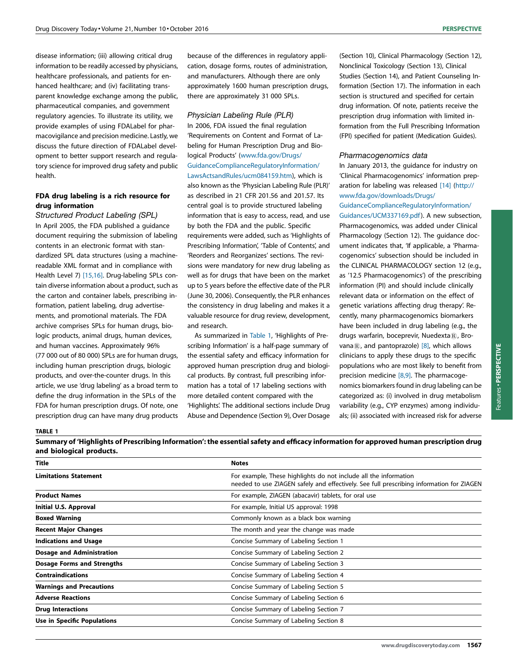disease information; (iii) allowing critical drug information to be readily accessed by physicians, healthcare professionals, and patients for enhanced healthcare; and (iv) facilitating transparent knowledge exchange among the public, pharmaceutical companies, and government regulatory agencies. To illustrate its utility, we provide examples of using FDALabel for pharmacovigilance and precision medicine. Lastly, we discuss the future direction of FDALabel development to better support research and regulatory science for improved drug safety and public health.

# FDA drug labeling is a rich resource for drug information

Structured Product Labeling (SPL) In April 2005, the FDA published a guidance document requiring the submission of labeling contents in an electronic format with standardized SPL data structures (using a machinereadable XML format and in compliance with Health Level 7) [\[15,16\].](#page-4-0) Drug-labeling SPLs contain diverse information about a product, such as the carton and container labels, prescribing information, patient labeling, drug advertisements, and promotional materials. The FDA archive comprises SPLs for human drugs, biologic products, animal drugs, human devices, and human vaccines. Approximately 96% (77 000 out of 80 000) SPLs are for human drugs, including human prescription drugs, biologic products, and over-the-counter drugs. In this article, we use 'drug labeling' as a broad term to define the drug information in the SPLs of the FDA for human prescription drugs. Of note, one prescription drug can have many drug products because of the differences in regulatory application, dosage forms, routes of administration, and manufacturers. Although there are only approximately 1600 human prescription drugs, there are approximately 31 000 SPLs.

#### Physician Labeling Rule (PLR)

In 2006, FDA issued the final regulation 'Requirements on Content and Format of Labeling for Human Prescription Drug and Biological Products' ([www.fda.gov/Drugs/](http://www.fda.gov/Drugs/GuidanceComplianceRegulatoryInformation/LawsActsandRules/ucm084159.htm) [GuidanceComplianceRegulatoryInformation/](http://www.fda.gov/Drugs/GuidanceComplianceRegulatoryInformation/LawsActsandRules/ucm084159.htm) [LawsActsandRules/ucm084159.htm\)](http://www.fda.gov/Drugs/GuidanceComplianceRegulatoryInformation/LawsActsandRules/ucm084159.htm), which is also known as the 'Physician Labeling Rule (PLR)' as described in 21 CFR 201.56 and 201.57. Its central goal is to provide structured labeling information that is easy to access, read, and use by both the FDA and the public. Specific requirements were added, such as 'Highlights of Prescribing Information', 'Table of Contents', and 'Reorders and Reorganizes' sections. The revisions were mandatory for new drug labeling as well as for drugs that have been on the market up to 5 years before the effective date of the PLR (June 30, 2006). Consequently, the PLR enhances the consistency in drug labeling and makes it a valuable resource for drug review, development, and research.

As summarized in Table 1, 'Highlights of Prescribing Information' is a half-page summary of the essential safety and efficacy information for approved human prescription drug and biological products. By contrast, full prescribing information has a total of 17 labeling sections with more detailed content compared with the 'Highlights'. The additional sections include Drug Abuse and Dependence (Section 9), Over Dosage (Section 10), Clinical Pharmacology (Section 12), Nonclinical Toxicology (Section 13), Clinical Studies (Section 14), and Patient Counseling Information (Section 17). The information in each section is structured and specified for certain drug information. Of note, patients receive the prescription drug information with limited information from the Full Prescribing Information (FPI) specified for patient (Medication Guides).

#### Pharmacogenomics data

In January 2013, the guidance for industry on 'Clinical Pharmacogenomics' information preparation for labeling was released [\[14\]](#page-4-0) ([http://](http://www.fda.gov/downloads/Drugs/GuidanceComplianceRegulatoryInformation/Guidances/UCM337169.pdf) [www.fda.gov/downloads/Drugs/](http://www.fda.gov/downloads/Drugs/GuidanceComplianceRegulatoryInformation/Guidances/UCM337169.pdf)

[GuidanceComplianceRegulatoryInformation/](http://www.fda.gov/downloads/Drugs/GuidanceComplianceRegulatoryInformation/Guidances/UCM337169.pdf) [Guidances/UCM337169.pdf](http://www.fda.gov/downloads/Drugs/GuidanceComplianceRegulatoryInformation/Guidances/UCM337169.pdf)). A new subsection, Pharmacogenomics, was added under Clinical Pharmacology (Section 12). The guidance document indicates that, 'If applicable, a 'Pharmacogenomics' subsection should be included in the CLINICAL PHARMACOLOGY section 12 (e.g., as '12.5 Pharmacogenomics') of the prescribing information (PI) and should include clinically relevant data or information on the effect of genetic variations affecting drug therapy'. Recently, many pharmacogenomics biomarkers have been included in drug labeling (e.g., the drugs warfarin, boceprevir, Nuedexta $\mathbb{\overline{R}}$ , Brovana $\Re$ , and pantoprazole) [\[8\]](#page-4-0), which allows clinicians to apply these drugs to the specific populations who are most likely to benefit from precision medicine [\[8,9\].](#page-4-0) The pharmacogenomics biomarkers found in drug labeling can be categorized as: (i) involved in drug metabolism variability (e.g., CYP enzymes) among individuals; (ii) associated with increased risk for adverse

Summary of 'Highlights of Prescribing Information': the essential safety and efficacy information for approved human prescription drug and biological products.

| <b>Title</b>                      | <b>Notes</b>                                                                                                                                                 |
|-----------------------------------|--------------------------------------------------------------------------------------------------------------------------------------------------------------|
| <b>Limitations Statement</b>      | For example, These highlights do not include all the information<br>needed to use ZIAGEN safely and effectively. See full prescribing information for ZIAGEN |
| <b>Product Names</b>              | For example, ZIAGEN (abacavir) tablets, for oral use                                                                                                         |
| Initial U.S. Approval             | For example, Initial US approval: 1998                                                                                                                       |
| <b>Boxed Warning</b>              | Commonly known as a black box warning                                                                                                                        |
| <b>Recent Major Changes</b>       | The month and year the change was made                                                                                                                       |
| <b>Indications and Usage</b>      | Concise Summary of Labeling Section 1                                                                                                                        |
| <b>Dosage and Administration</b>  | Concise Summary of Labeling Section 2                                                                                                                        |
| <b>Dosage Forms and Strengths</b> | Concise Summary of Labeling Section 3                                                                                                                        |
| <b>Contraindications</b>          | Concise Summary of Labeling Section 4                                                                                                                        |
| <b>Warnings and Precautions</b>   | Concise Summary of Labeling Section 5                                                                                                                        |
| <b>Adverse Reactions</b>          | Concise Summary of Labeling Section 6                                                                                                                        |
| <b>Drug Interactions</b>          | Concise Summary of Labeling Section 7                                                                                                                        |
| Use in Specific Populations       | Concise Summary of Labeling Section 8                                                                                                                        |

Features -

Features . PERSPECTIVE PERSPECTIVE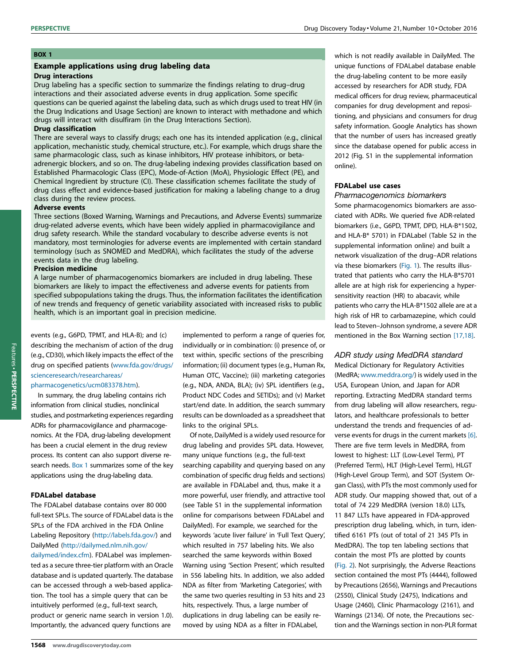## BOX 1

# Example applications using drug labeling data

# Drug interactions

Drug labeling has a specific section to summarize the findings relating to drug–drug interactions and their associated adverse events in drug application. Some specific questions can be queried against the labeling data, such as which drugs used to treat HIV (in the Drug Indications and Usage Section) are known to interact with methadone and which drugs will interact with disulfiram (in the Drug Interactions Section).

#### Drug classification

There are several ways to classify drugs; each one has its intended application (e.g., clinical application, mechanistic study, chemical structure, etc.). For example, which drugs share the same pharmacologic class, such as kinase inhibitors, HIV protease inhibitors, or betaadrenergic blockers, and so on. The drug-labeling indexing provides classification based on Established Pharmacologic Class (EPC), Mode-of-Action (MoA), Physiologic Effect (PE), and Chemical Ingredient by structure (CI). These classification schemes facilitate the study of drug class effect and evidence-based justification for making a labeling change to a drug class during the review process.

### Adverse events

Three sections (Boxed Warning, Warnings and Precautions, and Adverse Events) summarize drug-related adverse events, which have been widely applied in pharmacovigilance and drug safety research. While the standard vocabulary to describe adverse events is not mandatory, most terminologies for adverse events are implemented with certain standard terminology (such as SNOMED and MedDRA), which facilitates the study of the adverse events data in the drug labeling.

#### Precision medicine

A large number of pharmacogenomics biomarkers are included in drug labeling. These biomarkers are likely to impact the effectiveness and adverse events for patients from specified subpopulations taking the drugs. Thus, the information facilitates the identification of new trends and frequency of genetic variability associated with increased risks to public health, which is an important goal in precision medicine.

events (e.g., G6PD, TPMT, and HLA-B); and (c) describing the mechanism of action of the drug (e.g., CD30), which likely impacts the effect of the drug on specified patients [\(www.fda.gov/drugs/](http://www.fda.gov/drugs/scienceresearch/researchareas/pharmacogenetics/ucm083378.htm) [scienceresearch/researchareas/](http://www.fda.gov/drugs/scienceresearch/researchareas/pharmacogenetics/ucm083378.htm)

#### [pharmacogenetics/ucm083378.htm\)](http://www.fda.gov/drugs/scienceresearch/researchareas/pharmacogenetics/ucm083378.htm).

In summary, the drug labeling contains rich information from clinical studies, nonclinical studies, and postmarketing experiences regarding ADRs for pharmacovigilance and pharmacogenomics. At the FDA, drug-labeling development has been a crucial element in the drug review process. Its content can also support diverse research needs. Box 1 summarizes some of the key applications using the drug-labeling data.

#### FDALabel database

The FDALabel database contains over 80 000 full-text SPLs. The source of FDALabel data is the SPLs of the FDA archived in the FDA Online Labeling Repository ([http://labels.fda.gov/\)](http://labels.fda.gov/) and DailyMed [\(http://dailymed.nlm.nih.gov/](http://dailymed.nlm.nih.gov/dailymed/index.cfm) [dailymed/index.cfm\)](http://dailymed.nlm.nih.gov/dailymed/index.cfm). FDALabel was implemented as a secure three-tier platform with an Oracle database and is updated quarterly. The database can be accessed through a web-based application. The tool has a simple query that can be intuitively performed (e.g., full-text search, product or generic name search in version 1.0). Importantly, the advanced query functions are

implemented to perform a range of queries for, individually or in combination: (i) presence of, or text within, specific sections of the prescribing information; (ii) document types (e.g., Human Rx, Human OTC, Vaccine); (iii) marketing categories (e.g., NDA, ANDA, BLA); (iv) SPL identifiers (e.g., Product NDC Codes and SETIDs); and (v) Market start/end date. In addition, the search summary results can be downloaded as a spreadsheet that links to the original SPLs.

Of note, DailyMed is a widely used resource for drug labeling and provides SPL data. However, many unique functions (e.g., the full-text searching capability and querying based on any combination of specific drug fields and sections) are available in FDALabel and, thus, make it a more powerful, user friendly, and attractive tool (see Table S1 in the supplemental information online for comparisons between FDALabel and DailyMed). For example, we searched for the keywords 'acute liver failure' in 'Full Text Query', which resulted in 757 labeling hits. We also searched the same keywords within Boxed Warning using 'Section Present', which resulted in 556 labeling hits. In addition, we also added NDA as filter from 'Marketing Categories', with the same two queries resulting in 53 hits and 23 hits, respectively. Thus, a large number of duplications in drug labeling can be easily removed by using NDA as a filter in FDALabel,

which is not readily available in DailyMed. The unique functions of FDALabel database enable the drug-labeling content to be more easily accessed by researchers for ADR study, FDA medical officers for drug review, pharmaceutical companies for drug development and repositioning, and physicians and consumers for drug safety information. Google Analytics has shown that the number of users has increased greatly since the database opened for public access in 2012 (Fig. S1 in the supplemental information online).

#### FDALabel use cases

#### Pharmacogenomics biomarkers

Some pharmacogenomics biomarkers are associated with ADRs. We queried five ADR-related biomarkers (i.e., G6PD, TPMT, DPD, HLA-B\*1502, and HLA-B\* 5701) in FDALabel (Table S2 in the supplemental information online) and built a network visualization of the drug–ADR relations via these biomarkers [\(Fig.](#page-3-0) 1). The results illustrated that patients who carry the HLA-B\*5701 allele are at high risk for experiencing a hypersensitivity reaction (HR) to abacavir, while patients who carry the HLA-B\*1502 allele are at a high risk of HR to carbamazepine, which could lead to Steven–Johnson syndrome, a severe ADR mentioned in the Box Warning section [\[17,18\].](#page-4-0)

ADR study using MedDRA standard Medical Dictionary for Regulatory Activities (MedRA; [www.meddra.org/\)](http://www.meddra.org/) is widely used in the USA, European Union, and Japan for ADR reporting. Extracting MedDRA standard terms from drug labeling will allow researchers, regulators, and healthcare professionals to better understand the trends and frequencies of adverse events for drugs in the current markets [\[6\]](#page-4-0). There are five term levels in MedDRA, from lowest to highest: LLT (Low-Level Term), PT (Preferred Term), HLT (High-Level Term), HLGT (High-Level Group Term), and SOT (System Organ Class), with PTs the most commonly used for ADR study. Our mapping showed that, out of a total of 74 229 MedDRA (version 18.0) LLTs, 11 847 LLTs have appeared in FDA-approved prescription drug labeling, which, in turn, identified 6161 PTs (out of total of 21 345 PTs in MedDRA). The top ten labeling sections that contain the most PTs are plotted by counts [\(Fig.](#page-3-0) 2). Not surprisingly, the Adverse Reactions section contained the most PTs (4444), followed by Precautions (2656), Warnings and Precautions (2550), Clinical Study (2475), Indications and Usage (2460), Clinic Pharmacology (2161), and Warnings (2134). Of note, the Precautions section and the Warnings section in non-PLR format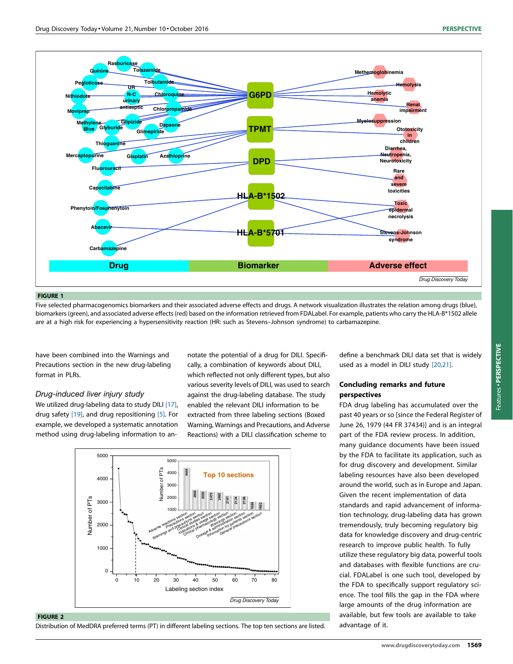<span id="page-3-0"></span>

Five selected pharmacogenomics biomarkers and their associated adverse effects and drugs. A network visualization illustrates the relation among drugs (blue), biomarkers (green), and associated adverse effects (red) based on the information retrieved from FDALabel. For example, patients who carry the HLA-B\*1502 allele are at a high risk for experiencing a hypersensitivity reaction (HR: such as Stevens–Johnson syndrome) to carbamazepine.

have been combined into the Warnings and Precautions section in the new drug-labeling format in PLRs.

# Drug-induced liver injury study

We utilized drug-labeling data to study DILI [\[17\],](#page-4-0) drug safety [\[19\],](#page-4-0) and drug repositioning [\[5\]](#page-4-0). For example, we developed a systematic annotation method using drug-labeling information to annotate the potential of a drug for DILI. Specifically, a combination of keywords about DILI, which reflected not only different types, but also various severity levels of DILI, was used to search against the drug-labeling database. The study enabled the relevant DILI information to be extracted from three labeling sections (Boxed Warning, Warnings and Precautions, and Adverse Reactions) with a DILI classification scheme to



#### FIGURE 2

Distribution of MedDRA preferred terms (PT) in different labeling sections. The top ten sections are listed.

define a benchmark DILI data set that is widely used as a model in DILI study [\[20,21\]](#page-4-0).

# Concluding remarks and future perspectives

FDA drug labeling has accumulated over the past 40 years or so [since the Federal Register of June 26, 1979 (44 FR 37434)] and is an integral part of the FDA review process. In addition, many guidance documents have been issued by the FDA to facilitate its application, such as for drug discovery and development. Similar labeling resources have also been developed around the world, such as in Europe and Japan. Given the recent implementation of data standards and rapid advancement of information technology, drug-labeling data has grown tremendously, truly becoming regulatory big data for knowledge discovery and drug-centric research to improve public health. To fully utilize these regulatory big data, powerful tools and databases with flexible functions are crucial. FDALabel is one such tool, developed by the FDA to specifically support regulatory science. The tool fills the gap in the FDA where large amounts of the drug information are available, but few tools are available to take advantage of it.